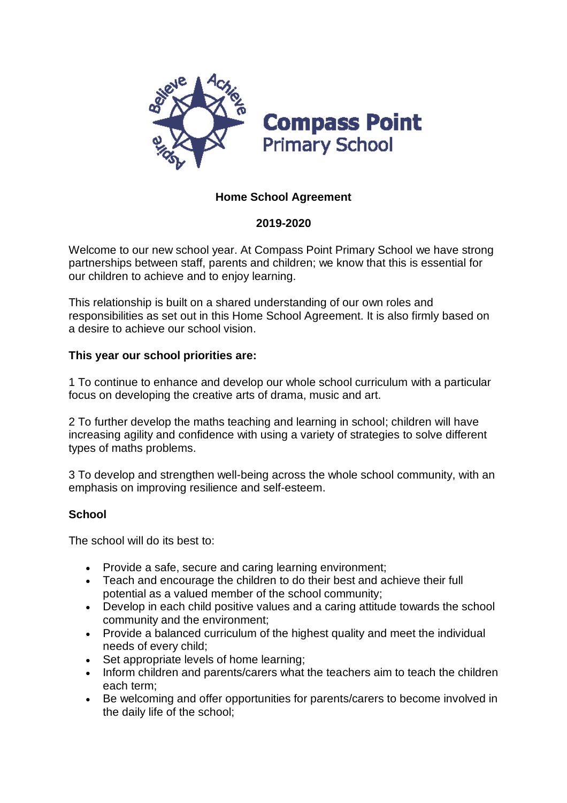

# **Home School Agreement**

## **2019-2020**

Welcome to our new school year. At Compass Point Primary School we have strong partnerships between staff, parents and children; we know that this is essential for our children to achieve and to enjoy learning.

This relationship is built on a shared understanding of our own roles and responsibilities as set out in this Home School Agreement. It is also firmly based on a desire to achieve our school vision.

## **This year our school priorities are:**

1 To continue to enhance and develop our whole school curriculum with a particular focus on developing the creative arts of drama, music and art.

2 To further develop the maths teaching and learning in school; children will have increasing agility and confidence with using a variety of strategies to solve different types of maths problems.

3 To develop and strengthen well-being across the whole school community, with an emphasis on improving resilience and self-esteem.

## **School**

The school will do its best to:

- Provide a safe, secure and caring learning environment;
- Teach and encourage the children to do their best and achieve their full potential as a valued member of the school community;
- Develop in each child positive values and a caring attitude towards the school community and the environment;
- Provide a balanced curriculum of the highest quality and meet the individual needs of every child;
- Set appropriate levels of home learning;
- Inform children and parents/carers what the teachers aim to teach the children each term;
- Be welcoming and offer opportunities for parents/carers to become involved in the daily life of the school;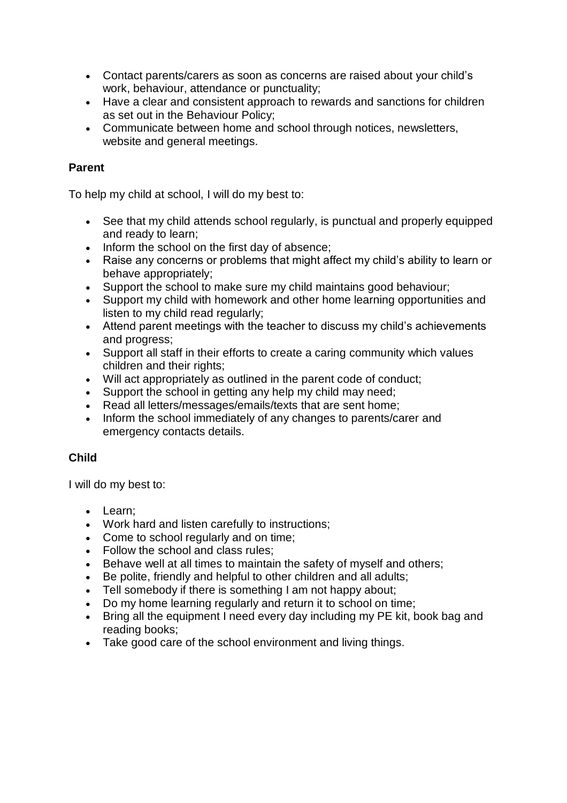- Contact parents/carers as soon as concerns are raised about your child's work, behaviour, attendance or punctuality;
- Have a clear and consistent approach to rewards and sanctions for children as set out in the Behaviour Policy;
- Communicate between home and school through notices, newsletters, website and general meetings.

## **Parent**

To help my child at school, I will do my best to:

- See that my child attends school regularly, is punctual and properly equipped and ready to learn;
- Inform the school on the first day of absence;
- Raise any concerns or problems that might affect my child's ability to learn or behave appropriately;
- Support the school to make sure my child maintains good behaviour;
- Support my child with homework and other home learning opportunities and listen to my child read regularly;
- Attend parent meetings with the teacher to discuss my child's achievements and progress;
- Support all staff in their efforts to create a caring community which values children and their rights;
- Will act appropriately as outlined in the parent code of conduct;
- Support the school in getting any help my child may need;
- Read all letters/messages/emails/texts that are sent home;
- Inform the school immediately of any changes to parents/carer and emergency contacts details.

## **Child**

I will do my best to:

- Learn;
- Work hard and listen carefully to instructions;
- Come to school regularly and on time;
- Follow the school and class rules;
- Behave well at all times to maintain the safety of myself and others;
- Be polite, friendly and helpful to other children and all adults;
- Tell somebody if there is something I am not happy about;
- Do my home learning regularly and return it to school on time;
- Bring all the equipment I need every day including my PE kit, book bag and reading books;
- Take good care of the school environment and living things.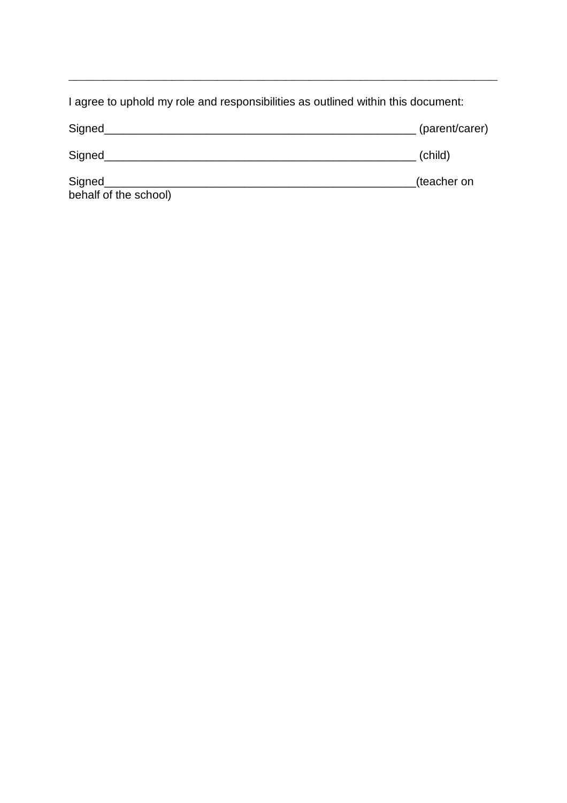I agree to uphold my role and responsibilities as outlined within this document:

| Signed                          | (parent/carer) |
|---------------------------------|----------------|
| Signed                          | (child)        |
| Signed<br>behalf of the school) | teacher on     |

\_\_\_\_\_\_\_\_\_\_\_\_\_\_\_\_\_\_\_\_\_\_\_\_\_\_\_\_\_\_\_\_\_\_\_\_\_\_\_\_\_\_\_\_\_\_\_\_\_\_\_\_\_\_\_\_\_\_\_\_\_\_\_\_\_\_\_\_\_\_\_\_\_\_\_